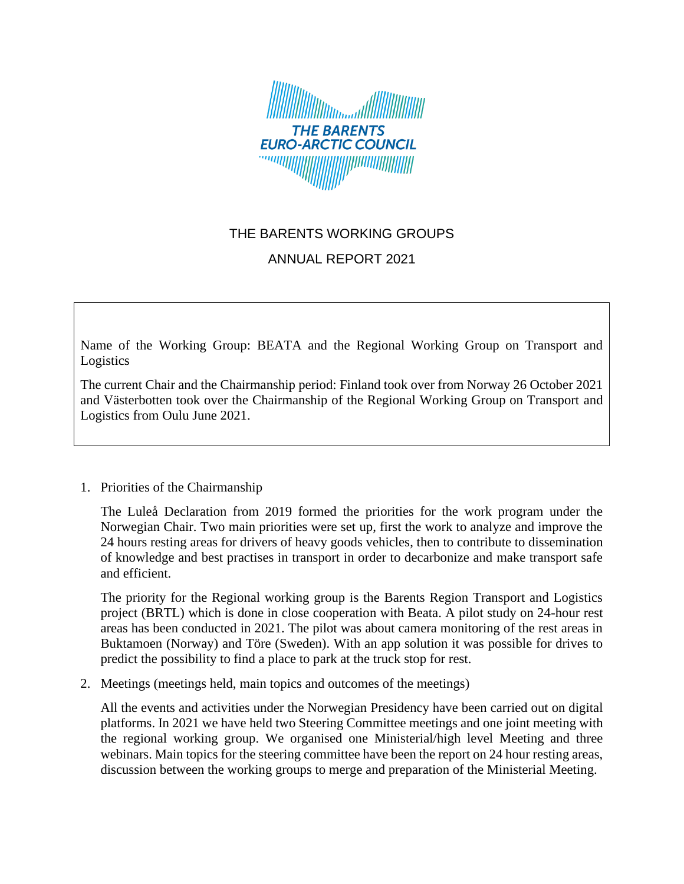

## THE BARENTS WORKING GROUPS

## ANNUAL REPORT 2021

Name of the Working Group: BEATA and the Regional Working Group on Transport and Logistics

The current Chair and the Chairmanship period: Finland took over from Norway 26 October 2021 and Västerbotten took over the Chairmanship of the Regional Working Group on Transport and Logistics from Oulu June 2021.

## 1. Priorities of the Chairmanship

The Luleå Declaration from 2019 formed the priorities for the work program under the Norwegian Chair. Two main priorities were set up, first the work to analyze and improve the 24 hours resting areas for drivers of heavy goods vehicles, then to contribute to dissemination of knowledge and best practises in transport in order to decarbonize and make transport safe and efficient.

The priority for the Regional working group is the Barents Region Transport and Logistics project (BRTL) which is done in close cooperation with Beata. A pilot study on 24-hour rest areas has been conducted in 2021. The pilot was about camera monitoring of the rest areas in Buktamoen (Norway) and Töre (Sweden). With an app solution it was possible for drives to predict the possibility to find a place to park at the truck stop for rest.

2. Meetings (meetings held, main topics and outcomes of the meetings)

All the events and activities under the Norwegian Presidency have been carried out on digital platforms. In 2021 we have held two Steering Committee meetings and one joint meeting with the regional working group. We organised one Ministerial/high level Meeting and three webinars. Main topics for the steering committee have been the report on 24 hour resting areas, discussion between the working groups to merge and preparation of the Ministerial Meeting.